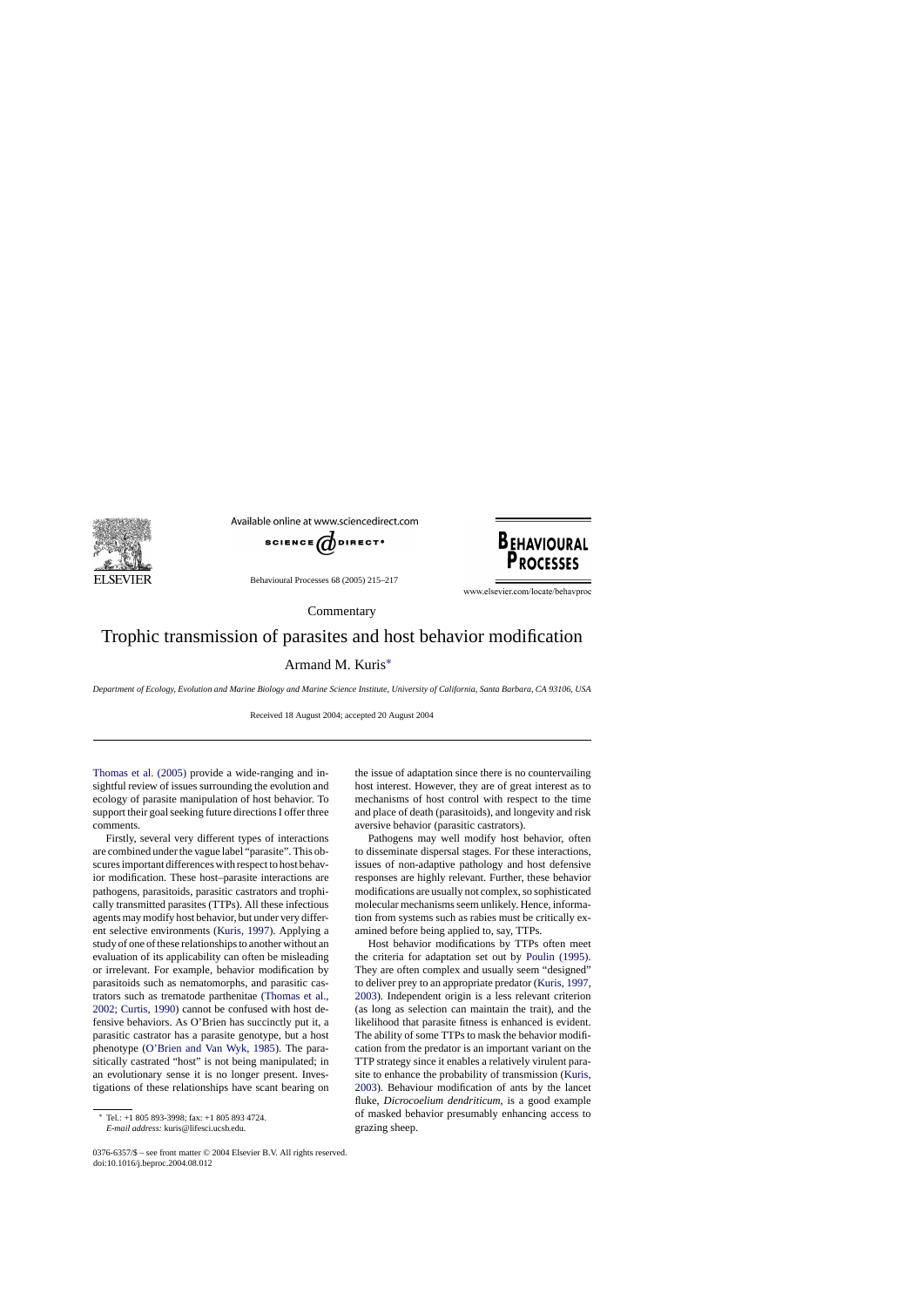

Available online at www.sciencedirect.com



Behavioural Processes 68 (2005) 215–217



www.elsevier.com/locate/behavproc

**Commentary** 

## Trophic transmission of parasites and host behavior modification

Armand M. Kuris∗

*Department of Ecology, Evolution and Marine Biology and Marine Science Institute, University of California, Santa Barbara, CA 93106, USA*

Received 18 August 2004; accepted 20 August 2004

[Thomas et al. \(2005\)](#page-2-0) provide a wide-ranging and insightful review of issues surrounding the evolution and ecology of parasite manipulation of host behavior. To support their goal seeking future directions I offer three comments.

Firstly, several very different types of interactions are combined under the vague label "parasite". This obscures important differences with respect to host behavior modification. These host–parasite interactions are pathogens, parasitoids, parasitic castrators and trophically transmitted parasites (TTPs). All these infectious agents may modify host behavior, but under very different selective environments ([Kuris, 1997\).](#page-2-0) Applying a study of one of these relationships to another without an evaluation of its applicability can often be misleading or irrelevant. For example, behavior modification by parasitoids such as nematomorphs, and parasitic castrators such as trematode parthenitae [\(Thomas et al.,](#page-2-0) [2002; Curtis, 1990\)](#page-2-0) cannot be confused with host defensive behaviors. As O'Brien has succinctly put it, a parasitic castrator has a parasite genotype, but a host phenotype [\(O'Brien and Van Wyk, 1985\)](#page-2-0). The parasitically castrated "host" is not being manipulated; in an evolutionary sense it is no longer present. Investigations of these relationships have scant bearing on

∗ Tel.: +1 805 893-3998; fax: +1 805 893 4724. *E-mail address:* kuris@lifesci.ucsb.edu.

the issue of adaptation since there is no countervailing host interest. However, they are of great interest as to mechanisms of host control with respect to the time and place of death (parasitoids), and longevity and risk aversive behavior (parasitic castrators).

Pathogens may well modify host behavior, often to disseminate dispersal stages. For these interactions, issues of non-adaptive pathology and host defensive responses are highly relevant. Further, these behavior modifications are usually not complex, so sophisticated molecular mechanisms seem unlikely. Hence, information from systems such as rabies must be critically examined before being applied to, say, TTPs.

Host behavior modifications by TTPs often meet the criteria for adaptation set out by [Poulin \(1995\).](#page-2-0) They are often complex and usually seem "designed" to deliver prey to an appropriate predator ([Kuris, 1997,](#page-2-0) [2003\).](#page-2-0) Independent origin is a less relevant criterion (as long as selection can maintain the trait), and the likelihood that parasite fitness is enhanced is evident. The ability of some TTPs to mask the behavior modification from the predator is an important variant on the TTP strategy since it enables a relatively virulent parasite to enhance the probability of transmission [\(Kuris,](#page-2-0) [2003\).](#page-2-0) Behaviour modification of ants by the lancet fluke, *Dicrocoelium dendriticum*, is a good example of masked behavior presumably enhancing access to grazing sheep.

<sup>0376-6357/\$ –</sup> see front matter © 2004 Elsevier B.V. All rights reserved. doi:10.1016/j.beproc.2004.08.012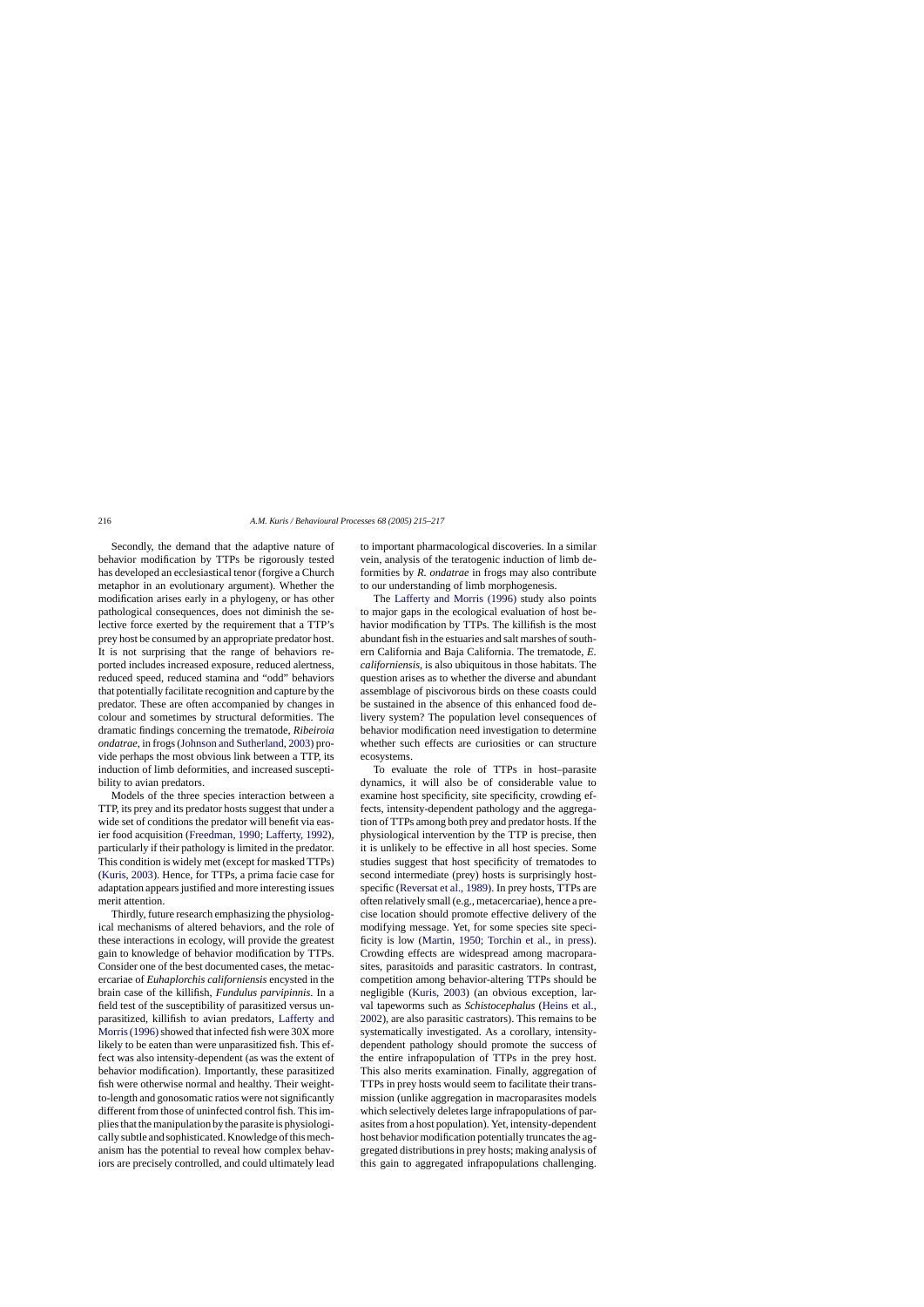Secondly, the demand that the adaptive nature of behavior modification by TTPs be rigorously tested has developed an ecclesiastical tenor (forgive a Church metaphor in an evolutionary argument). Whether the modification arises early in a phylogeny, or has other pathological consequences, does not diminish the selective force exerted by the requirement that a TTP's prey host be consumed by an appropriate predator host. It is not surprising that the range of behaviors reported includes increased exposure, reduced alertness, reduced speed, reduced stamina and "odd" behaviors that potentially facilitate recognition and capture by the predator. These are often accompanied by changes in colour and sometimes by structural deformities. The dramatic findings concerning the trematode, *Ribeiroia ondatrae*, in frogs ([Johnson and Sutherland, 2003\) p](#page-2-0)rovide perhaps the most obvious link between a TTP, its induction of limb deformities, and increased susceptibility to avian predators.

Models of the three species interaction between a TTP, its prey and its predator hosts suggest that under a wide set of conditions the predator will benefit via easier food acquisition ([Freedman, 1990; Lafferty, 1992\),](#page-2-0) particularly if their pathology is limited in the predator. This condition is widely met (except for masked TTPs) ([Kuris, 2003\).](#page-2-0) Hence, for TTPs, a prima facie case for adaptation appears justified and more interesting issues merit attention.

Thirdly, future research emphasizing the physiological mechanisms of altered behaviors, and the role of these interactions in ecology, will provide the greatest gain to knowledge of behavior modification by TTPs. Consider one of the best documented cases, the metacercariae of *Euhaplorchis californiensis* encysted in the brain case of the killifish, *Fundulus parvipinnis*. In a field test of the susceptibility of parasitized versus unparasitized, killifish to avian predators, [Lafferty and](#page-2-0) Morris (1996) showed that infected fish were  $30X$  more likely to be eaten than were unparasitized fish. This effect was also intensity-dependent (as was the extent of behavior modification). Importantly, these parasitized fish were otherwise normal and healthy. Their weightto-length and gonosomatic ratios were not significantly different from those of uninfected control fish. This implies that the manipulation by the parasite is physiologically subtle and sophisticated. Knowledge of this mechanism has the potential to reveal how complex behaviors are precisely controlled, and could ultimately lead

to important pharmacological discoveries. In a similar vein, analysis of the teratogenic induction of limb deformities by *R. ondatrae* in frogs may also contribute to our understanding of limb morphogenesis.

The [Lafferty and Morris \(1996\)](#page-2-0) study also points to major gaps in the ecological evaluation of host behavior modification by TTPs. The killifish is the most abundant fish in the estuaries and salt marshes of southern California and Baja California. The trematode, *E. californiensis*, is also ubiquitous in those habitats. The question arises as to whether the diverse and abundant assemblage of piscivorous birds on these coasts could be sustained in the absence of this enhanced food delivery system? The population level consequences of behavior modification need investigation to determine whether such effects are curiosities or can structure ecosystems.

To evaluate the role of TTPs in host–parasite dynamics, it will also be of considerable value to examine host specificity, site specificity, crowding effects, intensity-dependent pathology and the aggregation of TTPs among both prey and predator hosts. If the physiological intervention by the TTP is precise, then it is unlikely to be effective in all host species. Some studies suggest that host specificity of trematodes to second intermediate (prey) hosts is surprisingly hostspecific ([Reversat et al., 1989\).](#page-2-0) In prey hosts, TTPs are often relatively small (e.g., metacercariae), hence a precise location should promote effective delivery of the modifying message. Yet, for some species site specificity is low ([Martin, 1950; Torchin et al., in press](#page-2-0)). Crowding effects are widespread among macroparasites, parasitoids and parasitic castrators. In contrast, competition among behavior-altering TTPs should be negligible ([Kuris, 2003\)](#page-2-0) (an obvious exception, larval tapeworms such as *Schistocephalus* ([Heins et al.,](#page-2-0) [2002\),](#page-2-0) are also parasitic castrators). This remains to be systematically investigated. As a corollary, intensitydependent pathology should promote the success of the entire infrapopulation of TTPs in the prey host. This also merits examination. Finally, aggregation of TTPs in prey hosts would seem to facilitate their transmission (unlike aggregation in macroparasites models which selectively deletes large infrapopulations of parasites from a host population). Yet, intensity-dependent host behavior modification potentially truncates the aggregated distributions in prey hosts; making analysis of this gain to aggregated infrapopulations challenging.